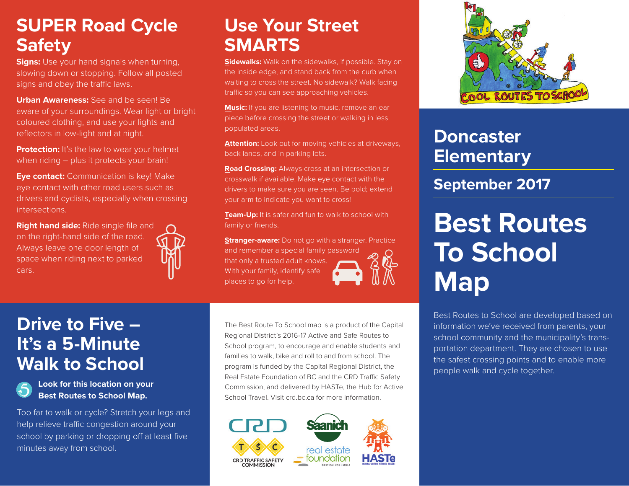#### **SUPER Road (Safety)** BAYLI **SUPER Road Cycle Safety**

slowing down or stopping. Follow all posted . F<br>la<br>nc **Signs:** Use your hand signals when turning, signs and obey the traffic laws.

f yoi<br>d clc<br><sup>:</sup>s in ia<br>Bi *Gordon Head*  coloured clothing, and use your lights and reflectors in low-light and at night. **Urban Awareness:** See and be seen! Be aware of your surroundings. Wear light or bright

**Protection:** It's the law to wear your helmet when riding – plus it protects your brain!

ORELTON PL **Eye contact:** Communication is key! Make *Park* eye contact with other road users such as drivers and cyclists, especially when crossing intersections.

space when riding next to parked F<br>the **Right hand side:** Ride single file and on the right-hand side of the road. Always leave one door length of cars.



## **Use Your Street SMARTS**

**Sidewalks:** Walk on the sidewalks, if possible. Stay on the inside edge, and stand back from the curb when waiting to cross the street. No sidewalk? Walk facing traffic so you can see approaching vehicles.

**Music:** If you are listening to music, remove an ear piece before crossing the street or walking in less populated areas.

**Attention:** Look out for moving vehicles at driveways, back lanes, and in parking lots.

**Road Crossing:** Always cross at an intersection or crosswalk if available. Make eye contact with the drivers to make sure you are seen. Be bold; extend your arm to indicate you want to cross!

**Team-Up:** It is safer and fun to walk to school with family or friends.

**Stranger-aware:** Do not go with a stranger. Practice and remember a special family password that only a trusted adult knows. With your family, identify safe places to go for help.



S<br>B<br>B **Look for this location on your**  5 n on your **a Best Routes to School Map.**

Too far to walk or cycle? Stretch your legs and help relieve traffic congestion around your help relieve traffic congestion around your<br>school by parking or dropping off at least five<br>minutes away from school. minutes away from school.

The Best Route To School map is a product of the Capital Regional District's 2016-17 Active and Safe Routes to School program, to encourage and enable students and families to walk, bike and roll to and from school. The program is funded by the Capital Regional District, the Real Estate Foundation of BC and the CRD Traffic Safety Commission, and delivered by HASTe, the Hub for Active School Travel. Visit crd.bc.ca for more information.





## **Doncaster Elementary**

### **September 2017**

# **Best Routes To School Map**

Best Routes to School are developed based on information we've received from parents, your school community and the municipality's transportation department. They are chosen to use the safest crossing points and to enable more people walk and cycle together.